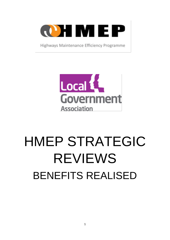

Highways Maintenance Efficiency Programme



# HMEP STRATEGIC REVIEWS BENEFITS REALISED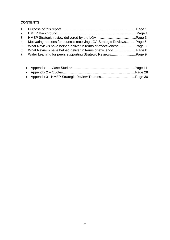# **CONTENTS**

| 4. Motivating reasons for councils receiving LGA Strategic Reviews Page 5 |  |
|---------------------------------------------------------------------------|--|
|                                                                           |  |
|                                                                           |  |
|                                                                           |  |
|                                                                           |  |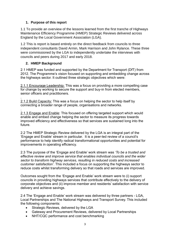# **1. Purpose of this report**

1.1 To provide an overview of the lessons learned from the first tranche of Highways Maintenance Efficiency Programme (HMEP) Strategic Reviews delivered across England by the Local Government Association (LGA).

1.2 This is report is based entirely on the direct feedback from councils to three independent consultants David Armin, Mark Harrison and John Rylance. These three were commissioned by the LGA to independently undertake the interviews with councils and peers during 2017 and early 2018.

# **2. HMEP Background**

2.1 HMEP was funded and supported by the Department for Transport (DfT) from 2012. The Programme's vision focused on supporting and embedding change across the highways sector. It outlined three strategic objectives which were:

2.1.1 Encourage Leadership: This was a focus on providing a more compelling case for change by working to secure the support and buy-in from elected members, senior officers and practitioners.

. 2.1.2 Build Capacity: This was a focus on helping the sector to help itself by connecting a broader range of people, organisations and networks.

. 2.1.3 [Engage](http://www.highwaysefficiency.org.uk/efficiency-resources/hmep-helping-you-to-enable-and-embed-change.html) and Enable: This focused on offering targeted support which would enable and embed change helping the sector to measure its progress towards improved efficiency and effectiveness so that services are sustained long into the future.

2.2 The HMEP Strategic Review delivered by the LGA is an integral part of the 'Engage and Enable' stream in particular. It is a peer-led review of a council's performance to help identify radical transformational opportunities and potential for improvements in operating efficiency.

2.3 The purpose of the 'Engage and Enable' work stream was *'To be a trusted and effective review and improve service that enables individual councils and the wider sector to transform highway services, resulting in reduced costs and increased customer satisfaction'*. This included a focus on supporting the highways sector to reduce costs whilst transforming delivery so that roads and services are improved.

Outcomes sought from the 'Engage and Enable' work stream were to (i) support councils in providing highways services that contribute effectively to the delivery of corporate objectives and (ii) improve member and residents' satisfaction with service delivery and achieve savings.

2.4 The 'Engage and Enable' work stream was delivered by three partners - LGA, Local Partnerships and The National Highways and Transport Survey. This included the following components:

- Strategic Reviews, delivered by the LGA
- Gateway and Procurement Reviews, delivered by Local Partnerships
- NHT/CQC performance and cost benchmarking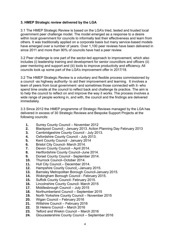# **3. HMEP Strategic review delivered by the LGA**

3.1 The HMEP Strategic Review is based on the LGA's tried, tested and trusted local government peer challenge model. The model emerged as a response to a desire within local government for councils to informally test their effectiveness and learn from others. It was traditionally applied on a corporate basis but many service-based models have emerged over a number of years. Over 1,100 peer reviews have been delivered in since 2011 and more than 90% of councils have had a peer review.

3.2 Peer challenge is one part of the sector-led approach to improvement, which also includes (i) leadership training and development for senior councillors and officers (ii) peer mentoring and support and (iii) tools to improve productivity and efficiency. All councils took up some part of the LGA's improvement offer in 2017/18.

3.2 The HMEP Strategic Review is a voluntary and flexible process commissioned by a council -as highway authority- to aid their improvement and learning. It involves a team of peers from local government -and sometimes those connected with it- who spend time onsite at the council to reflect back and challenge its practice. The aim is to help the council to reflect on and improve the way it works. The process involves a wide range of people working in, and with, the council and the findings are delivered immediately.

3.3 Since 2012 the HMEP programme of Strategic Reviews managed by the LGA has delivered in excess of 30 Strategic Reviews and Bespoke Support Projects at the following councils:

- **1.** Surrey County Council November 2012
- **2.** Blackpool Council January 2013. Action Planning Day February 2013
- **3.** Cambridgeshire County Council July 2013.
- **4.** Oxfordshire County Council July 2013.
- **5.** Kent County Council January 2014
- **6.** Bristol City Council- March 2014.
- **7.** Devon County Council April 2014.
- **8.** Hertfordshire County Council–June 2014.
- **9.** Dorset County Council September 2014.
- **10.** Thurrock Council–October 2014.
- **11.** Hull City Council December 2014.
- **12.** Hampshire County Council –January 2015.
- **13.** Barnsley Metropolitan Borough Council-January 2015.
- **14.** Wokingham Borough Council February 2015.
- **15.** Suffolk County Council- February 2015.
- **16.** Lincolnshire County Council- March 2015
- **17.** Middlesbrough Council July 2015
- **18.** Northumberland Council September 2015
- **19.** North Yorkshire County Council November 2015
- **20.** Wigan Council February 2016
- **21.** Wiltshire Council February 2016
- **22.** St Helens Council March 2016
- **23.** Telford and Wrekin Council March 2016
- **24.** Gloucestershire County Council September 2016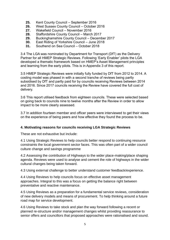- **25.** Kent County Council September 2016
- **26.** West Sussex County Council October 2016
- **27.** Wakefield Council November 2016
- **28.** Staffordshire County Council March 2017
- **29.** Buckinghamshire County Council December 2017
- **30.** East Riding of Yorkshire Council June 2018
- **31.** Southend on Sea Council October 2018

3.4 The LGA was nominated by Department for Transport (DfT) as the Delivery Partner for all HMEP Strategic Reviews. Following 'Early Enabler' pilots the LGA developed a thematic framework based on HMEP's Asset Management principles and learning from the early pilots. This is in Appendix 3 of this report.

3.5 HMEP Strategic Reviews were initially fully funded by DfT from 2012 to 2014. A costing model was phased in with a second tranche of reviews being partly subsidised by DfT and partly paid for by councils receiving Reviews between 2014 and 2016. Since 2017 councils receiving the Review have covered the full cost of delivery.

3.6 This report utilised feedback from eighteen councils. These were selected based on going back to councils nine to twelve months after the Review in order to allow impact to be more clearly assessed.

3.7 In addition fourteen member and officer peers were interviewed to get their views on the experience of being peers and how effective they found the process to be.

# **4. Motivating reasons for councils receiving LGA Strategic Reviews**

These are not exhaustive but include:

4.1 Using Strategic Reviews to help councils better respond to continuing resource constraints the local government sector faces. This was often part of a wider council culture change and savings programme

4.2 Assessing the contribution of Highways to the wider place-making/place shaping agenda. Reviews were used to analyse and cement the role of highways in the wider cultural changes being taken forward.

4.3 Using external challenge to better understand customer feedback/experience.

4.4 Using Reviews to help councils focus on effective asset management approaches. Integral to this was a focus on getting the balance right between preventative and reactive maintenance.

4.5 Using Reviews as a preparation for a fundamental service reviews, consideration of new delivery models and means of procurement. To help thinking around a future road map for service development.

4.6 Using Reviews to take stock and plan the way forward following a recent or planned re-structure and/or management changes whilst providing reassurance to senior offers and councillors that proposed approaches were rationalised and sound.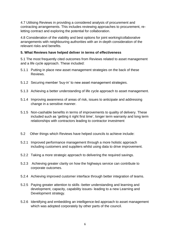4.7 Utilising Reviews in providing a considered analysis of procurement and contracting arrangements. This includes reviewing approaches to procurement, reletting contract and exploring the potential for collaboration.

4.8 Consideration of the viability and best options for joint working/collaborative arrangements with neighbouring authorities with an in-depth consideration of the relevant risks and benefits.

# **5. What Reviews have helped deliver in terms of effectiveness**

5.1 The most frequently cited outcomes from Reviews related to asset management and a life cycle approach. These included:

- 5.1.1 Putting in place new asset management strategies on the back of these **Reviews**
- 5.1.2 Securing member 'buy-in' to new asset management strategies.
- 5.1.3 Achieving a better understanding of life cycle approach to asset management.
- 5.1.4 Improving awareness of areas of risk, issues to anticipate and addressing change in a sensitive manner.
- 5.1.5 Non-cashable benefits in terms of improvements to quality of delivery. These included such as 'getting it right first time', longer term warranty and long term relationships with contractors leading to contractor investment
- 5.2 Other things which Reviews have helped councils to achieve include:
- 5.2.1 Improved performance management through a more holistic approach including customers and suppliers whilst using data to drive improvement.
- 5.2.2 Taking a more strategic approach to delivering the required savings.
- 5.2.3 Achieving greater clarity on how the highways service can contribute to corporate outcomes.
- 5.2.4 Achieving improved customer interface through better integration of teams.
- 5.2.5 Paying greater attention to skills -better understanding and learning and development, capacity, capability issues- leading to a new Learning and Development strategy.
- 5.2.6 Identifying and embedding an intelligence-led approach to asset management which was adopted corporately by other parts of the council.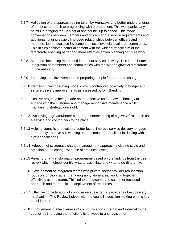- 5.2.7 Validation of the approach being taken by Highways and better understanding of the best approach to progressing with procurement. This was particularly helpful in bringing the Cabinet at one council up to speed. This made conversations between members and officers about service requirements and additional funding easier. Improved relationships between officers and members led to focussed investment at local level via local area committees. This in turn achieved better alignment with the wider strategic aim of the directorate enabling better and more effective action planning of future work.
- 5.2.8 Members becoming more confident about service delivery. This led to better integration of members and communities with the wider highways directorate in one authority.
- 5.2.9 Improving staff involvement and preparing people for corporate change.
- 5.2.10 Identifying new operating models which contributed positively to budget and service delivery improvements as assessed by DfT Banding.
- 5.2.11 Positive progress being made on the effective use of new technology to engage with the customer and manage responsive maintenance whilst maintaining strategic oversight.
- 5.2.12 Achieving a greater/better corporate understanding of highways' role both as a service and contribution to the place.
- 5.2.13 Helping councils to develop a better focus, improve service delivery, engage corporately, remove silo working and become more resilient in dealing with further challenges.
- 5.2.14 Adoption of systematic change management approach including scale and ambition of the change with use of empirical testing.
- 5.2.15 Revamp of a Transformation programme based on the findings from the peer review which helped identify what to assimilate and what to do differently.
- 5.2.16 Development of integrated teams with private sector provider (co-location, focus on function rather than geography alone area, working together effectively as one team). This led to an outcome and customer focussed approach and more efficient deployment of resources.
- 5.2.17 Effective consideration of in-house versus external provider as best delivery mechanism. The Review helped with the council's decision making on this key consideration.
- 5.2.18 Improvement in effectiveness of communications internal and external to the council by improving the functionality of website and revision of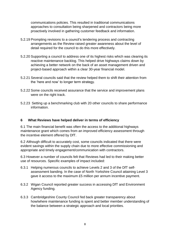communications policies. This resulted in traditional communications approaches to consultation being sharpened and contractors being more proactively involved in gathering customer feedback and information.

- 5.2.19 Prompting revisions to a council's tendering process and contracting arrangements as the Review raised greater awareness about the level of detail required for the council to do this more effectively.
- 5.2.20 Supporting a council to address one of its highest risks which was clearing its reactive maintenance backlog. This helped drive highways claims down by achieving a better network on the back of an asset management driven and project-based approach within a clear 30-year financial model.
- 5.2.21 Several councils said that the review helped them to shift their attention from the 'here and now' to longer term strategy.
- 5.2.22 Some councils received assurance that the service and improvement plans were on the right track.
- 5.2.23 Setting up a benchmarking club with 20 other councils to share performance information.

# **6 What Reviews have helped deliver in terms of efficiency**

6.1 The main financial benefit was often the access to the additional highways maintenance grant which comes from an improved efficiency assessment through the incentive element offered by DfT.

6.2 Although difficult to accurately cost, some councils indicated that there were evident savings within the supply chain due to more effective commissioning and appropriate and timely engagement/communication with contractors.

6.3 However a number of councils felt that Reviews had led to their making better use of resources. Specific examples of impact included:

- 6.3.1 Helping numerous councils to achieve Levels 2 and 3 of the DfT selfassessment banding. In the case of North Yorkshire Council attaining Level 3 gave it access to the maximum £5 million per annum incentive payment.
- 6.3.2 Wigan Council reported greater success in accessing DfT and Environment Agency funding.
- 6.3.3 Cambridgeshire County Council fed back greater transparency about how/where maintenance funding is spent and better member understanding of the balance between a strategic approach and local priorities.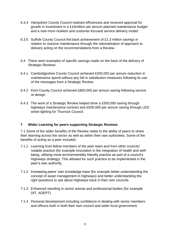- 6.3.4 Hampshire County Council realised efficiencies and received approval for growth in investment in a £10million per annum planned maintenance budget and a new more resilient and customer-focused service delivery model.
- 6.3.5 Suffolk County Council fed back achievement of £1.3 million savings in relation to reactive maintenance through the rationalisation of approach to delivery acting on the recommendations from a Review.
- 6.4 There were examples of specific savings made on the back of the delivery of Strategic Reviews:
- 6.4.1 Cambridgeshire County Council achieved £200,000 per annum reduction in maintenance spend without any fall in satisfaction measures following its use of the messages from a Strategic Review.
- 6.4.2 Kent County Council achieved £800,000 per annum saving following service re-design.
- 6.4.3 The work of a Strategic Review helped drive a £500,000 saving through highways maintenance contract and £500,000 per annum saving through LED street lighting for Thurrock Council.

# **7 Wider Learning for peers supporting Strategic Reviews**

7.1 Some of the wider benefits of the Review relate to the ability of peers to share their learning across the sector as well as within their own authorities. Some of the benefits of acting as a peer included:

- 7.1.1 Learning from fellow members of the peer team and from other councils' notable practice (for example innovation in the integration of health and wellbeing, utilising more environmentally friendly practice as part of a council's Highways strategy). This allowed for such practice to be implemented in the peer's own authority.
- 7.1.2 Increasing peers' own knowledge base (for example better understanding the concept of asset management in highways) and better understanding the right questions to ask about Highways back in their own councils.
- 7.1.3 Enhanced standing in senior arenas and professional bodies (for example DfT, ADEPT).
- 7.1.4 Personal development including confidence in dealing with senior members and officers both in both their own council and wider local government.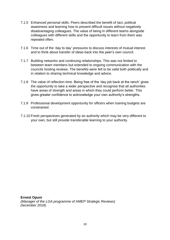- 7.1.5 Enhanced personal skills. Peers described the benefit of tact, political awareness and learning how to present difficult issues without negatively disadvantaging colleagues. The value of being in different teams alongside colleagues with different skills and the opportunity to learn from them was repeated often.
- 7.1.6 Time out of the 'day to day' pressures to discuss interests of mutual interest and to think about transfer of ideas back into the peer's own council.
- 7.1.7 Building networks and continuing relationships. This was not limited to between team members but extended to ongoing communication with the councils hosting reviews. The benefits were felt to be valid both politically and in relation to sharing technical knowledge and advice.
- 7.1.8 The value of reflection time. Being free of the 'day job back at the ranch' gives the opportunity to take a wider perspective and recognise that all authorities have areas of strength and areas in which they could perform better. This gives greater confidence to acknowledge your own authority's strengths.
- 7.1.9 Professional development opportunity for officers when training budgets are constrained.
- 7.1.10 Fresh perspectives generated by an authority which may be very different to your own, but still provide transferable learning to your authority.

**Ernest Opuni** *(Manager of the LGA programme of HMEP Strategic Reviews) December 2018)*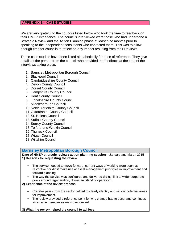# **APPENDIX 1 – CASE STUDIES**

We are very grateful to the councils listed below who took the time to feedback on their HMEP experience. The councils interviewed were those who had undergone a Strategic Review and the Action Planning phase at least nine months prior to speaking to the independent consultants who contacted them. This was to allow enough time for councils to reflect on any impact resulting from their Reviews.

These case studies have been listed alphabetically for ease of reference. They give details of the person from the council who provided the feedback at the time of the interviews taking place.

- 1. Barnsley Metropolitan Borough Council
- 2. Blackpool Council
- 3. Cambridgeshire County Council
- 4. Devon County Council
- 5. Dorset County Council
- 6. Hampshire County Council
- 7. Kent County Council
- 8. Lincolnshire County Council
- 9. Middlesbrough Council
- 10.North Yorkshire County Council
- 11.Oxfordshire County Council
- 12.St. Helens Council
- 13.Suffolk County Council
- 14.Surrey County Council
- 15.Telford and Wrekin Council
- 16.Thurrock Council
- 17.Wigan Council
- 18.Wiltshire Council

# **Barnsley Metropolitan Borough Council**

**Date of HMEP strategic review / action planning session** – January and March 2015 **1) Reasons for requesting the review**

- The service needed to move forward, current ways of working were seen as restrictive nor did it make use of asset management principles in improvement and forward planning.
- The way the service was configured and delivered did not link to wider corporate goals around regeneration, 'it was an island of operation'.

# **2) Experience of the review process**

- Credible peers from the sector helped to clearly identify and set out potential areas for improvement.
- The review provided a reference point for why change had to occur and continues as an aide memoire as we move forward.

#### **3) What the review helped the council to achieve**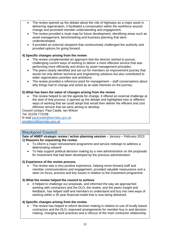- The review opened up the debate about the role of highways as a major asset in delivering regeneration, it facilitated a conversation within the workforce around change and promoted member understanding and engagement.
- The review provided a route map for future development, identifying areas such as asset management, benchmarking and business planning that were underdeveloped.
- It provided an external viewpoint that constructively challenged the authority and provided options for going forward.

# **4) Specific changes arising from the review**

- The review complemented an approach that the director wished to pursue, challenging current ways of working to deliver a more effective service that was performing more efficiently and driven by asset management principles.
- The peers clearly identified and set out for members an improvement journey that would not only deliver technical and engineering solutions but also contributed to wider regeneration priorities and ambitions.
- The review provided a reference point for management staff conversations about why things had to change and acted as an aide memoire on the journey.

# **5) What has been the value of changes arising from the review**

 The review helped to set the agenda for change, it offered an external challenge at the start of that process, it opened up the debate and highlighted new or different ways of working that we could adopt that would then deliver the efficient and cost effective service that we were aiming to develop.

Council contact: Paul Castle, Ian Wilson

Tel. 01226 772158

E-mail [paulcastle@barnsley.gov.uk](mailto:paulcastle@barnsley.gov.uk) [ianwilson@barnsley.gov.uk](mailto:ianwilson@barnsley.gov.uk)

# **Blackpool Council**

**Date of HMEP strategic review / action planning session** – January – February 2013 **1) Reasons for requesting the review**

- To inform a major reinvestment programme and service redesign to address a deteriorating network
- To help support political decision making by a new administration on the proposals for investment that had been developed by the previous administration

#### **2) Experience of the review process**

 The review was a very positive experience, helping move forward staff and member communications and engagement, provided valuable reassurance and a steer on focus, process and key issues in relation to the investment programme

# **3) What the review helped the council to achieve**

 It helped to challenge our proposals, and informed the way we approached working with contractors and the DLO, the review, and the peers insight and feedback, has helped staff and members to understand and buy into new ways of working within a 30 year financial model that is now being delivered.

# **4) Specific changes arising from the review**

 The review has helped to inform decision making in relation to use of locally based contractors and the DLO, improved arrangements for member buy in and decisionmaking, changing work practices and a refocus of the main contractor relationship.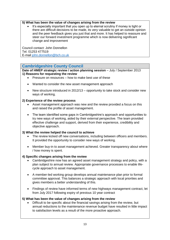# **5) What has been the value of changes arising from the review**

 It's especially important that you open up to eternal scrutiny if money is tight or there are difficult decisions to be made, its very valuable to get an outside opinion and the peer feedback gives you just that and more. It has helped to reassure and steer our forward investment programme which is now delivering significant change and improvement

Council contact: John Donnellon Tel. 01253 477519 E-mail [john.donnellon@bch.co.uk](mailto:john.donnellon@bch.co.uk)

# **Cambridgeshire County Council**

**Date of HMEP strategic review / action planning session** – July / September 2013 **1) Reasons for requesting the review**

- Pressure on resources how to make best use of these
- Wanted to consider the new asset management approach
- New structure introduced in 2012/13 opportunity to take stock and consider new ways of working.

#### **2) Experience of the review process**

- Asset management approach was new and the review provided a focus on this and raised the profile of asset management.
- The team identified some gaps in Cambridgeshire's approach and opportunities to try new ways of working, aided by their external perspective. The team provided effective challenge and support, derived from their experience, credibility and objective approach.

# **3) What the review helped the council to achieve**

- The review kicked off new conversations, including between officers and members. It provided the opportunity to consider new ways of working.
- Member buy-in to asset management achieved. Greater transparency about where / how money is spent.

# **4) Specific changes arising from the review**

- Cambridgeshire now has an agreed asset management strategy and policy, with a plan subject to annual review. Appropriate governance processes to enable lifecycle approach to asset management.
- A member-led working group develops annual maintenance plan prior to formal committee approval. This balances a strategic approach with local priorities and gives members a better understanding of this.
- Findings of review have informed terms of new highways management contract, let from July 2017 following expiry of previous 10 year contract

# **5) What has been the value of changes arising from the review**

 Difficult to be specific about the financial savings arising from the review, but annual reductions to the maintenance revenue budget have resulted in little impact to satisfaction levels as a result of the more proactive approach.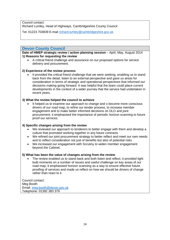Council contact:

Richard Lumley, Head of Highways, Cambridgeshire County Council

Tel. 01223 703839 E-mail [richard.lumley@cambridgeshire.gov.uk](mailto:richard.lumley@cambridgeshire.gov.uk)

# **Devon County Council**

**Date of HMEP strategic review / action planning session** – April, May, August 2014 **1) Reasons for requesting the review**

 A critical friend challenge and assurance on our proposed options for service delivery and procurement.

# **2) Experience of the review process**

 It provided the critical friend challenge that we were seeking, enabling us to stand back from the detail, listen to an external perspective and gave us areas for consideration in terms of strategic and operational perspectives that informed our decisions making going forward. It was helpful that the team could place current developments in the context of a wider journey that the service had undertaken in recent years.

#### **3) What the review helped the council to achieve**

 It helped us to examine our approach to change and o become more conscious drivers of our road map, to refine our tender process, to increase member engagement and to make better informed decisions on DLO and joint procurement, it emphasised the importance of periodic horizon scanning to future proof our services.

#### **4) Specific changes arising from the review**

- We reviewed our approach to tenderers to better engage with them and develop a culture that promoted working together in any future contracts
- We refined our joint procurement strategy to better reflect and meet our own needs and to reflect consideration not just of benefits but also of potential risks
- We increased our engagement with Scrutiny to widen member engagement beyond the Cabinet.

# **5) What has been the value of changes arising from the review**

 The review enabled us to stand back and both listen and reflect, it provided light bulb moments on a number of issues and useful challenge on key areas of our road map, it emphasised horizon scanning as a way to ensure effective future proofing of services and made us reflect on how we should be drivers of change rather than react to it.

Council contact: Meg Booth Email: [meg.booth@devon.gov.uk](mailto:meg.booth@devon.gov.uk) Telephone: 01392 383 379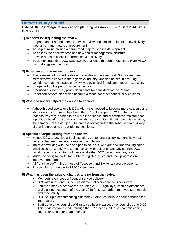# **Dorset County Council.**

**Date of HMEP strategic review / action planning session** – SR 9-11 Sept 2014 with AP in Nov 2014

## **1) Reasons for requesting the review**

- Preparation for a fundamental service review and consideration of a new delivery mechanism and means of procurement.
- To help thinking around a future road map for service development.
- To assess the effectiveness of a new senior management structure.
- Provide a health check for current service delivery.
- To demonstrate that DCC was open to challenge through a respected HMEP/LGA methodology and process.

#### **2) Experience of the review process**

- The team were knowledgeable and credible and understood DCC issues. Team members were known in the highways industry, and this helped in assuring confidence that the strategic review was by critical friends and not an inspection.
- Sharpened up the performance framework.
- Produced a suite of key policy documents for consideration by Cabinet.
- Redefined service plan which became a model for other council service plans.

#### **3) What the review helped the council to achieve**

 Although good operationally DCC Highways needed to become more strategic and show links to corporate objectives, the SR really helped DCC to refocus on the reasons why they needed to do more than repairs and preventative maintenance. It provided head room to really think about the service without being distracted by the demands of the day job. The process reinvigorated the in-house team. A way of sharing problems and exploring solutions.

# **4) Specific changes arising from the review**

- Helped DCC to develop a business plan, demonstrating service benefits via 18 projects that are complete or nearing completion.
- Improved working with town and parish councils, who are now undertaking some small scale (aesthetic) works themselves with guidance and advice from DCC. Local precepts raised to fund these works that DCC cannot fund anymore.
- Much use of digital portal for public to register issues and track progress on improvement/repair.
- All front line staff trained in use of Facebook and Twitter to record problems.
- E. News for residents with 14,000 signed up.

#### **5) What has been the value of changes arising from the review**

- Members are more confident of service delivery.
- DCC attained Band 3 incentive element of Maintenance Block Grant.
- Achieved many other awards including APSE Highways, Winter Maintenance and Lighting best team of the year 2016 (this has further improved staff morale and productivity.
- DCC set up a benchmarking club with 20 other councils to share performance information.
- Staff go to other councils (Wilts) to see best practice, other councils go to DCC. This is via contacts made through the SR process (either as commissioning council or as a peer team member)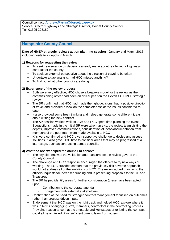Council contact: **[Andrew.Martin@dorsetcc.gov.uk](mailto:Andrew.Martin@dorsetcc.gov.uk)**

Service Director Highways and Strategic Director, Dorset County Council Tel. 01305 228182

# **Hampshire County Council**

**Date of HMEP strategic review / action planning session** - January and March 2015 including visits to 2 depots in March.

#### **1) Reasons for requesting the review**

- To seek reassurance on decisions already made about re letting a Highways contract for the county
- To seek an external perspective about the direction of travel to be taken
- Undertake a gap analysis, had HCC missed anything?
- To find out what other councils are doing.

#### **2) Experience of the review process**

- Both were very effective, HCC chose a bespoke model for the review as the commissioning officer had been an officer peer on the Devon CC HMEP strategic review
- The SR confirmed that HCC had made the right decisions, had a positive direction of travel and provided a view on the completeness of the issues considered to date.
- It also provided some fresh thinking and helped generate some different ideas about writing the new contract
- The AP session worked well as LGA and HCC spent time planning the event. Suggestions made in the initial SR were taken up e.g., the review team visiting the depots, improved communications, consideration of ideas/documentation from members of the peer team were made available to HCC
- KI's were confirmed and HCC given supportive challenge to devise and assess solutions. It also gave HCC time to consider areas that may be progressed at a later stage, such as contracting across councils.

#### **3) What the review helped the council to achieve**

- The key element was the validation and reassurance the review gave to the County Council
- The challenge and HCC response encouraged the officers to try new ways of working. The LGA provided comfort that the previously risk adverse approach would not address all of the ambitions of HCC. The review added gravitas to the officers requests for increased funding and in presenting proposals to the CE and Treasurer.
- The SR helped identify areas for further consideration (these have been acted upon):
	- Contribution to the corporate agenda
	- Engagement with external stakeholders.
- Confirmation of the need for stronger contract management focussed on outcomes rather than process driven inputs
- Endorsement that HCC was on the right track and helped HCC explore where it was in terms of engaging staff, members, contractors in the contracting process. Providing reassurance that the timetable and key stages of re-letting the contract could all be achieved. Plus sufficient time to learn from others.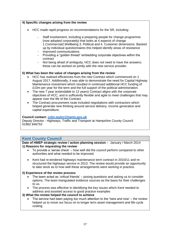## **4) Specific changes arising from the review**

- HCC made rapid progress on recommendations for the SR, including:
	- Staff involvement, including a preparing people for change programme (now adopted corporately) that looks at 4 aspects of change 1.Commercial2.Wellbeing 3. Political and 4. Customer dimensions. Backed up by individual questionnaires this helped identify areas of resistance
	- Improved communications
	- Providing a "golden thread" embedding corporate objectives within the contract
	- Not being afraid of ambiguity, HCC does not need to have the answers; these can be worked on jointly with the new service provider.

#### **5) What has been the value of changes arising from the review**

- HCC has realised efficiencies from the new Contract which commenced on 1 August 2017. Additionally, it was able to demonstrate the need for Capital Highway Maintenance investment which resulted in continued additional HCC funding of £10m per year for the term and the full support of the political administration.
- The new 7 year (extendable to 12 years) Contract aligns with the corporate objectives of HCC, and is sufficiently flexible and agile to meet challenges that may appear over the life of the Contract.
- The Contract procurement route included negotiations with contractors which helped generate new thinking around service delivery, income generation and capital expenditure.

#### **Council contact: [colin.taylor@hants.gov.uk](mailto:colin.taylor@hants.gov.uk)**

Deputy Director - Highways, Traffic and Transport at Hampshire County Council 01962 846753

# **Kent County Council**

**Date of HMEP strategic review / action planning session** – January / March 2014 **1) Reasons for requesting the review**

- To provide a 'sense check' how well did the council perform compared to other authorities and what needed to be improved.
- Kent had re-tendered highways maintenance term contract in 2010/11 and restructured the highways service in 2013. The review would provide an opportunity to take stock as to how well these arrangements were working in practice.

#### **2) Experience of the review process**

- The team acted as 'critical friends' posing questions and asking us to consider options. The team triangulated evidence sources as the basis for their challenges to us.
- The process was effective in identifying the key issues which Kent needed to address and assisted access to good practice examples

#### **3) What the review helped the council to achieve**

 The service had been paying too much attention to the 'here and now' – the review helped us to move our focus on to longer term asset management and life-cycle costing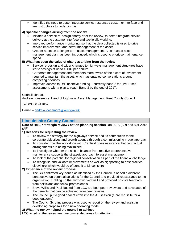Identified the need to better integrate service response / customer interface and team structures to underpin this

# **4) Specific changes arising from the review**

- Initiated a service re-design shortly after the review, to better integrate service delivery at the customer interface and tackle silo working.
- Improved performance monitoring, so that the data collected is used to drive service improvement and better management of the asset.
- Greater attention to longer term asset management. A risk-based asset management plan has been introduced, which is used to prioritise maintenance spend.

# **5) What has been the value of changes arising from the review**

- Service re-design and wider changes to highways management structures have led to savings of up to £800k per annum.
- Corporate management and members more aware of the extent of investment required to maintain the asset, which has enabled conversations around competing priorities
- Improved access to DfT incentive funding currently band 2 for HMEP selfassessment, with a plan to reach Band 3 by the end of 2017.

#### Council contact:

Andrew Loosemore, Head of Highways Asset Management, Kent County Council

Tel. 03000 411652

E-mail – [andrew.loosemore@kent.gov.uk](mailto:andrew.loosemore@kent.gov.uk)

# **Lincolnshire County Council**

**Date of HMEP strategic review / action planning session** Jan 2015 (SR) and Mar 2015 (AP)

# **1) Reasons for requesting the review**

- To review the strategy for the highways service and its contribution to the corporate objectives and growth agenda through a commissioning model approach
- To consider how the work done with Cranfield gives assurance that contractual arrangements are being maximised
- To investigate whether the shift in balance from reactive to preventative maintenance supports the strategic approach to asset management
- To look at the potential for regional consolidation as part of the financial challenge
- To recognise and validate improvements as well as signposting to best practice elsewhere which would be of benefit to Lincolnshire

# **2) Experience of the review process**

- The SR confirmed key issues as identified by the Council. It added a different perspective on potential solutions for the Council and provided reassurance to the organisation. Holding up the mirror worked well and provided positive feedback from politicians and fellow professionals.
- Steve Willis and Paul Rusted from LCC are both peer reviewers and advocates of the benefits that can be achieved from peer reviews
- The Council put a good deal of effort into the AP session (a pre requisite for a good outcome).
- The Council Scrutiny process was used to report on the review and assist in developing proposals for a new operating model

# **3) What the review helped the council to achieve**

LCC acted on the review team recommended areas for attention: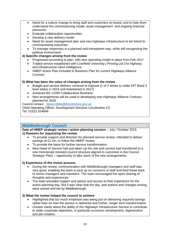- Need for a culture change to bring staff and customers on board, and to help them understand the commissioning model, asset management and ongoing financial pressures
- Evaluate collaboration opportunities
- Develop a new delivery model
- Need for asset management plan and new highways infrastructure to be linked to commissioning outcomes
- To manage responses in a planned and transparent way, while still recognising the political environment

# **4) Specific changes arising from the review**

- Progressed according to plan, with new operating model in place from Feb 2017
- Traded service established with Cranfield University [ Proving Ltd ] for highway and infrastructure client intelligence
- HMEP Action Plan included in Business Plan for current Highways Alliance **Contract**

# **5) What has been the value of changes arising from the review**

- Budget and service delivery continue to improve [1 of 2 shires to make DfT Band 3 level status in 2016 and maintained in 2017]
- Achieved BS 11000 Collaborative Business
- New arrangements will be used in developing new Highways Alliance Contract planned for 2020

Council contact [Steve.Willis@lincolnshire.gov.uk](mailto:Steve.Willis@lincolnshire.gov.uk)

Chief Operating Officer, Development Services Lincolnshire CC

Tel: 01522 554848

# **Middlesbrough Council**

# **Date of HMEP strategic review / action planning session** – July / October 2015 **1) Reasons for requesting the review**

- To provide support and direction for planned service review, intended to deliver savings of £1.2m, to follow the HMEP review
- To provide the basis for further service transformation
- New Head of Service had just taken up the role and service had transferred to a new Directorate (revised council structure aligned to outcomes in the Council Strategic Plan) – opportunity to take stock of the new arrangements.

# **2) Experience of the review process**

- During the review, communication with Middlesbrough managers and staff was very good, enabling the team to pick up on concerns of staff and feed these back to senior managers and members. The team encouraged the open sharing of thoughts and experiences.
- The team provided support and advice and access to their experience for the action planning day. But it was clear that the day, and actions and changes arising, were owned and led by Middlesbrough.

# **3) What the review helped the council to achieve**

- Highlighted that too much emphasis was being put on delivering required savings rather than on how the service is delivered and further, longer term transformation.
- Greater clarity about the ability of the Highways Infrastructure Service to contribute to wider corporate objectives, in particular economic development, regeneration and job creation.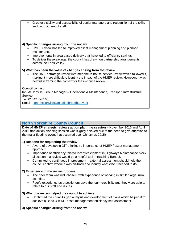Greater visibility and accessibility of senior managers and recognition of the skills and commitment of staff.

#### **4) Specific changes arising from the review**

- HMEP review has led to improved asset management planning and planned maintenance.
- Improvements in area based delivery that have led to efficiency savings.
- To deliver these savings, the council has drawn on partnership arrangements across the Tees Valley.

#### **5) What has been the value of changes arising from the review**

 The HMEP strategic review informed the in-house service review which followed it, making it more difficult to identify the impact of the HMEP review. However, it was helpful in framing the context for the in-house review.

Council contact: Ian McConville, Group Manager – Operations & Maintenance, Transport Infrastructure **Service** Tel. 01642 728160 Email – [ian\\_mcconville@middlesbrough.gov.uk](mailto:ian_mcconville@middlesbrough.gov.uk)

# **North Yorkshire County Council**

**Date of HMEP strategic review / action planning session** – November 2015 and April 2016 (the action planning session was slightly delayed due to the need to give attention to the major flooding event that occurred over Christmas 2015)

# **1) Reasons for requesting the review**

- Aware of developing DfT thinking re importance of HMEP / asset management approach.
- Importance of efficiency related incentive element in Highways Maintenance block allocation – a review would be a helpful tool in reaching Band 3.
- Committed to continuous improvement external assessment should help the council confirm where it was on-track and identify what else it needed to do.

#### **2) Experience of the review process**

- The peer team was well chosen, with experience of working in similar large, rural counties.
- Peer's experience as practitioners gave the team credibility and they were able to relate to our staff and issues.

#### **3) What the review helped the council to achieve**

 Confirmed the council's gap analysis and development of plans which helped it to achieve a Band 3 in DfT asset management efficiency self-assessment.

# **4) Specific changes arising from the review**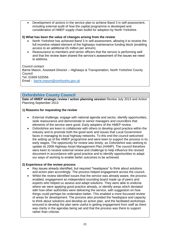Development of actions in the service plan to achieve Band 3 in self-assessment, including external audit of how the capital programme is developed and consideration of HMEP supply chain toolkit for adoption by North Yorkshire.

#### **5) What has been the value of changes arising from the review**

- North Yorkshire has achieved Band 3 in self-assessment, allowing it to receive the full incentive related element of the highways maintenance funding block (enabling access to an additional £5 million per annum).
- Reassurance to members and senior officers that the service is performing well and that the review team shared the service's assessment of the issues we need to address.

Council contact:

Barrie Mason, Assistant Director – Highways & Transportation, North Yorkshire County Council

Tel. 01609 532556

Email - [barrie.mason@northyorks.gov.uk](mailto:barrie.mason@northyorks.gov.uk)

# **Oxfordshire County Council**

**Date of HMEP strategic review / action planning session** Review July 2013 and Action Planning September 2013

#### **1) Reasons for requesting the review**

- External challenge, engage with national agenda and sector, identify opportunities, seek reassurance and demonstrate to senior managers and councillors that elements of the service were good. Early adopters of the HMEP review.
- Oxfordshire are keen to collaborate with others to develop good practice within the industry and to promote both the good work and issues that Local Government faces in managing its local highway networks. To this end the council welcomed the setting up of the HMEP programme and were keen to support the process in its early stages. The opportunity for review was timely, as Oxfordshire was seeking to update its 2008 Highway Asset Management Plan (HAMP). The council therefore were keen to receive external review and challenge to help influence the revised document in accordance with good practice and to identify opportunities to adapt our ways of working to enable better outcomes to be achieved.

#### **2) Experience of the review process**

- Key issues already identified, but required "headspace" to think about solutions and action plan accordingly. The process helped engagement across the council**.**
- Whilst the review identified issues that the service was already aware, the process enabled, engagement an independent sounding board made up of peers and experts who helped us assess and adapt solutions. They were able to endorse where we were applying good practice already, or identify areas which deviated with how other authorities were delivering the service, with suggestion on how things could perhaps be undertaken better. This enabled a more focussed review of areas for development. The process also provided the headspace and capacity to think about solutions and develop an action plan, and the facilitated workshops ensured to develop the plan were useful in getting engagement from staff as there was clarity in the agendas being set and that the process was there to support rather than criticise.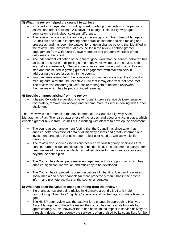#### **3) What the review helped the council to achieve**

- Provided an independent sounding board, made up of experts who helped us to assess and adopt solutions. A catalyst for change. Helped Highways gain permission to think about solutions differently.
- The review has assisted the authority in receiving buy in from Senior Managers, Councillors and staff in integrating better practice into our decision making and processes, and has been the catalyst for ongoing change beyond that identified in the review. The involvement of a councillor in the review enabled greater engagement from Oxfordshire's own members and greater ownership of the outcomes of the report.
- The independent validation of the general good work that the service delivered has assisted the service in dispelling some negative views about the service, both internally and externally. The good news was shared widely with councillors and staff and has helped in getting greater engagement with stakeholders in addressing the core issues within the county.
- Improvements arising from the review also subsequently assisted the Council in meeting criteria for the DfT Incentive Fund that it may otherwise not have met.
- The review also encouraged Oxfordshire managers to become reviewers themselves which has helped continued learning.

#### **4) Specific changes arising from the review**

 It helped Oxfordshire develop a better focus, improve service delivery, engage corporately, remove silo working and become more resilient in dealing with further challenges.

The review was instrumental in the development of the Councils Highway Asset Management Plan. The raised awareness of the issues, and good practice in place, which enabled greater buy in from Councillors in working with officers to develop the document.

- The sound asset management footing that the Council has since taken has enabled better collection of data of all highway assets and greatly informed our investment strategies that now better reflect user need as well as whole life costings.
- The review also sparked discussions between various highway disciplines that enabled further issues and solutions to be identified. This became the catalyst for a Lean review of the service which has helped deliver further changes above and beyond the action plan.
- The Council has developed greater engagement with its supply chain which has enabled significant innovation and efficiency to be developed.
- The Council has improved its communications of what it is doing and now uses social media and other channels far more proactively than it has in the past to inform and promote activity that the council undertakes.

#### **5) What has been the value of changes arising from the review**?

- Big changes now are being trialled in Highways around LEAN and major restructuring. Now into a "Big Bang" scenario and will be happy to share how this goes.
- The HMEP peer review was the catalyst for a change in approach to Highway Asset Management. Since the review the council has reduced its budgets by approximately £4.7m, however there has been limited impact in service delivery as a result. Indeed, more recently the service is often praised by its councillors for the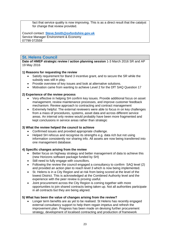fact that service quality is now improving. This is as a direct result that the catalyst for change that review provided.

Council contact: **[Steve.Smith@oxfordshire.gov.uk](mailto:Steve.Smith@oxfordshire.gov.uk)** Service Manager Environment & Economy 07799 072559

# **St. Helens Council**

**Date of HMEP strategic review / action planning session** 1-3 March 2016 SR and AP 19 May 2016

#### **1) Reasons for requesting the review**

- Satisfy requirement for Band 3 incentive grant, and to secure the SR while the subsidy was still in play.
- Provide overview of key issues and look at alternative solutions.
- Motivation came from wanting to achieve Level 2 for the DfT SAQ Question 17

#### **2) Experience of the review process**

- Very effective in helping SH confirm key issues. Provide additional focus on asset management, review maintenance processes, and improve customer feedback mechanism. Review approach to contracting and contract management
- Extremely helpful. The external reviewers were able to focus in on key challenges from a mass of procedures, systems, asset data and across different service areas. An internal only review would probably have been more fragmented and kept conclusions in service areas rather than strategic

#### **3) What the review helped the council to achieve**

- Confirmed issues and provided appropriate challenge.
- Helped SH refocus and recognise its strengths e.g. data rich but not using information consistently nor sharing info. All assets are now being transferred into one management database.

#### **4) Specific changes arising from the review**

- Better focus on highway strategy and better management of data to achieve this (new Horizons software package funded by SH)
- Still need to fully engage with councillors.
- Following the review the council engaged a consultancy to confirm SAQ level (2) and provided an action plan to reach level 3 which is now being implemented.
- St. Helens is in a City Region and at risk from being scored at the level of the lowest District. This is acknowledged at the Combined Authority level and the experience with the peer review is proving useful.
- Joint procurement across the City Region is coming together with more opportunities to join shared contracts being taken up. Not all authorities participate in all contracts but they are being aligned.

#### **5) What has been the value of changes arising from the review?**

 Longer term benefits are as yet to be realised. St Helens has recently engaged external consultancy support to help them regain impetus and refresh the improvement plan. Progress has been made on devising further procurement strategy, development of localised contracting and production of framework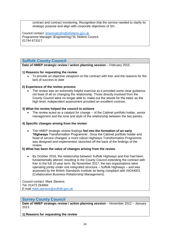contract and contract monitoring. Recognition that the service needed to clarify its strategic purpose and align with corporate objectives of SH.

Council contact: [brianmalcolm@sthelens.gov.uk](mailto:brianmalcolm@sthelens.gov.uk) Programme Manager (Engineering) St. Helens Council 01744 673317

# **Suffolk County Council**

**Date of HMEP strategic review / action planning session** – February 2015

#### **1) Reasons for requesting the review**

 To provide an objective viewpoint on the contract with Kier and the reasons for the lack of success to date

#### **2) Experience of the review process**

 The review was an extremely helpful exercise as it provided some clear guidance, not least of all on changing the relationship. Those directly involved from the County Council were no longer able to 'make out the woods for the trees' so the high level, independent assessment provided an excellent contrast.

#### **3) What the review helped the council to achieve**

 The review acted as a catalyst for change – of the Cabinet portfolio holder, senior management and the tone and style of the relationship between the two parties.

# **4) Specific changes arising from the review**

 The HMEP strategic review findings **fed into the formation of an early 'Highways** Transformation Programme'. Once the Cabinet portfolio holder and head of service changed, a more robust Highways Transformation Programme was designed and implemented, launched off the back of the findings of the review.

#### **5) What has been the value of changes arising from the review**

 By October 2016, the relationship between Suffolk Highways and Kier had been fundamentally altered, resulting in the County Council extending the contract with Kier to the full 10-year term. By November 2017, the two organisations were operating jointly under one integrated structure – Suffolk Highways – and was assessed by the British Standards Institute as being compliant with ISO44001 (Collaborative Business Relationship Management).

Council contact: Mark Stevens Tel. 01473 264994 E-mail [mark.stevens@suffolk.gov.uk](mailto:mark.stevens@suffolk.gov.uk)

# **Surrey County Council**

**Date of HMEP strategic review / action planning session** – November 2012 – January 2013

**1) Reasons for requesting the review**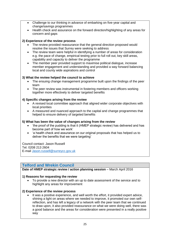- Challenge to our thinking in advance of embarking on five-year capital and change/savings programmes
- Health check and assurance on the forward direction/highlighting of any areas for concern and gaps

# **2) Experience of the review process**

- The review provided reassurance that the general direction proposed would resolve the issues that Surrey were seeking to address
- The review team were helpful in identifying a number of areas for consideration e.g. the pace of change, empirical testing prior to full roll out, key skill areas, capability and capacity to deliver the programme
- The member peer provided support to maximise political dialogue, increase member engagement and understanding and provided a way forward balancing local and county wide aspirations and control

# **3) What the review helped the council to achieve**

- The ensuing change management programme built upon the findings of the peer team
- The peer review was instrumental in fostering members and officers working together more effectively to deliver targeted benefits

# **4) Specific changes arising from the review**

- A revised local committee approach that aligned wider corporate objectives with local priorities
- A measured and nuanced approach to the capital and change programmes that helped to ensure delivery of targeted benefits

# **5) What has been the value of changes arising from the review**

- 'the proof of the pudding is that it (HMEP strategic review) has delivered and has become part of how we work'
- 'a health check and assurance on our original proposals that has helped us to deliver the benefits that we were targeting'

Council contact: Jason Russell Tel. 0208 213 2604 E-mail [Jason.russell@surreycc.gov.uk](mailto:Jason.russell@surreycc.gov.uk)

# **Telford and Wrekin Council**

**Date of HMEP strategic review / action planning session** – March April 2016

# **1) Reasons for requesting the review**

 To provide a new director with an up to date assessment of the service and to highlight any areas for improvement

# **2) Experience of the review process**

 It was a positive experience, and well worth the effort, it provided expert advice, shining a light on areas where we needed to improve, it promoted our own selfreflection, and has left a legacy of a network with the peer team that we continued to draw upon, it also provided reassurance on what we were doing well, there was a good balance and the areas for consideration were presented in a really positive way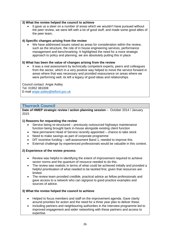#### **3) What the review helped the council to achieve**

 It gave us a steer on a number of areas which we wouldn't have pursued without the peer review, we were left with a lot of good stuff, and made some good allies of the peer team,

#### **4) Specific changes arising from the review**

 We have addressed issues raised as areas for consideration within the review, such as the structure, the role of in house engineering services, performance management and benchmarking. It highlighted the need for a more strategic approach to policy and planning, we are absolutely putting this in place

#### **5) What has been the value of changes arising from the review**

 It was a real assessment by technically competent experts, peers and colleagues from the sector, which in a very positive way helped to move the service forward in areas where that was necessary and provided reassurance on areas where we were performing well, its left a legacy of good ideas and relationships

Council contact: Angie Astley Tel. 01952 381008 E-mail [angie.astley@telford.gov.uk](mailto:angie.astley@telford.gov.uk)

# **Thurrock Council**

**Date of HMEP strategic review / action planning session** – October 2014 / January 2015

#### **1) Reasons for requesting the review**

- Service being re-structured previously outsourced highways maintenance function being brought back in-house alongside existing client function
- New permanent Head of Service recently appointed chance to take stock
- Need to make savings as part of corporate programme
- DfT incentive funding self-assessment Band 1, needed to improve this
- External challenge by experienced professionals would be valuable in this context.

# **2) Experience of the review process**

- Review was helpful in identifying the extent of improvement required to achieve sector norms and the quantum of resource needed to do this.
- The review was realistic in terms of what could be achieved initially and provided a helpful prioritisation of what needed to be tackled first, given that resources are limited.
- The review team provided credible, practical advice as fellow professionals and gave access to a network who can signpost to good practice examples and sources of advice.

#### **3) What the review helped the council to achieve**

- Helped to focus members and staff on the improvement agenda. Gave clarity around priorities for action and the need for a three year plan to deliver these.
- Including partners and neighbouring authorities in the interview programme led to improved engagement and wider networking with these partners and access to expertise.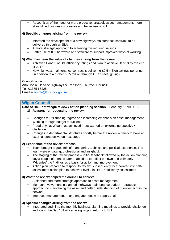Recognition of the need for more proactive, strategic asset management; more streamlined business processes and better use of ICT.

# **4) Specific changes arising from the review**

- Informed the development of a new highways maintenance contract, to be delivered through an SLA
- A more strategic approach to achieving the required savings
- Better use of ICT hardware and software to support improved ways of working

#### **5) What has been the value of changes arising from the review**

- Achieved Band 2 of DfT efficiency ratings and plan to achieve Band 3 by the end of 2017
- New highways maintenance contract is delivering £0.5 million savings per annum (in addition to a further £0.5 million through LED street lighting)

Council contact: Ann Osola, Head of Highways & Transport, Thurrock Council Tel. 01375 652254 Email – [aosola@thurrock.gov.uk](mailto:aosola@thurrock.gov.uk)

# **Wigan Council**

#### **Date of HMEP strategic review / action planning session** – February / April 2016 **1) Reasons for requesting the review**

- Changes to DfT funding regime and increasing emphasis on asset management
- Working through budget reductions
- Proud of what Wigan has achieved  $-$  but wanted an external perspective  $/$ challenge
- Changes in departmental structures shortly before the review timely to have an external perspective on next steps

# **2) Experience of the review process**

- Team brought a good mix of managerial, technical and political experience. The team were engaging, professional and insightful.
- The staging of the review process initial feedback followed by the action planning day a couple of months later enabled us to reflect on, own and ultimately 'Wiganise' the findings as a basis for action and improvement.
- Action plan prepared to respond to review, subsequently incorporated into selfassessment action plan to achieve Level 3 in HMEP efficiency assessment

# **3) What the review helped the council to achieve**

- A planned and more strategic approach to asset management.
- Member involvement in planned highways maintenance budget strategic approach to maintaining the asset and better understanding of priorities across the network.
- Improved management of and engagement with supply chain.

#### **4) Specific changes arising from the review**

 Integrated audit into the monthly business planning meetings to provide challenge and assist the Sec 151 officer in signing-off returns to DfT.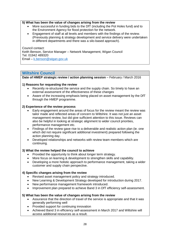## **5) What has been the value of changes arising from the review**

- More successful in funding bids to the DfT (including the Pot Holes fund) and to the Environment Agency for flood protection for the network.
- Engagement of staff at all levels and members with the findings of the review. (Previously planning & strategy development and service delivery were undertaken in different departments and there was a silo-based approach).

Council contact: Keith Benson, Service Manager – Network Management, Wigan Council Tel. 01942 489320 Email – [k.benson@wigan.gov.uk](mailto:k.benson@wigan.gov.uk)

# **Wiltshire Council**

**Date of HMEP strategic review / action planning session** – February / March 2016

#### **1) Reasons for requesting the review**

- Recently re-structured the service and the supply chain. So timely to have an external assessment of the effectiveness of these changes
- Aware of the increasing emphasis being placed on asset management by the DfT through the HMEP programme.

#### **2) Experience of the review process**

- Early engagement around the areas of focus for the review meant the review was tailor made and reflected areas of concern to Wiltshire. It was not just an asset management review, but did give sufficient attention to this issue. Reviews can also be helpful in looking at strategic alignment to wider council priorities, performance management etc.
- Findings of the review gave rise to a deliverable and realistic action plan (ie. one which did not require significant additional investment) prepared following the action planning day.
- Developed relationships and networks with review team members which are continuing.

# **3) What the review helped the council to achieve**

- Provided the opportunity to think about longer term strategy.
- More focus on learning & development to strengthen skills and capability.
- Developing a more holistic approach to performance management, taking a wider customer and supply chain perspective.

# **4) Specific changes arising from the review**

- Revised asset management policy and strategy introduced.
- New Learning & Development Strategy developed for introduction during 2017.
- New performance management framework introduced.
- Improvement plan prepared to achieve Band 3 in DfT efficiency self-assessment.

#### **5) What has been the value of changes arising from the review**

- Assurance that the direction of travel of the service is appropriate and that it was generally performing well
- Provided support for continuing innovation
- Achieved Band 3 in efficiency self-assessment in March 2017 and Wiltshire will access additional resources as a result.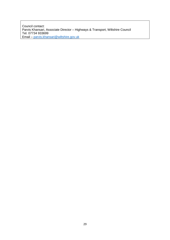Council contact: Parvis Khansari, Associate Director – Highways & Transport, Wiltshire Council Tel. 07734 933699 Email – [parvis.khansari@wiltshire.gov.uk](mailto:parvis.khansari@wiltshire.gov.uk)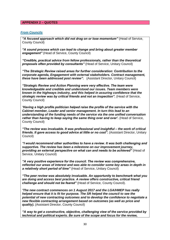#### **APPENDIX 2 – QUOTES**

#### *From Councils*

*"A focused approach which did not drag on or lose momentum"* (Head of Service, County Council)

*"A sound process which can lead to change and bring about greater member engagement"* (Head of Service, County Council)

*"Credible, practical advice from fellow professionals, rather than the theoretical proposals often provided by consultants"* (Head of Service, Unitary Council)

*"The Strategic Review raised areas for further consideration: Contribution to the corporate agenda, Engagement with external stakeholders. Contract management, these have been addressed post review".* (Assistant Director, Unitary Council)

*"Strategic Review and Action Planning were very effective. The team were knowledgeable and credible and understood our issues. Team members were known in the highways industry, and this helped in assuring confidence that the strategic review was by critical friends and not an inspection".* (Head of Service, County Council)

*'Having a high profile politician helped raise the profile of the service with the Cabinet member, Leader and senior management. In turn this lead to an understanding of the funding needs of the service via the one unified conversation*  rather than having to keep saying the same thing over and over'. (Head of Service, County Council)

*"The review was invaluable. It was professional and insightful – the work of critical friends. It gave access to good advice at little or no cost".* (Assistant Director, Unitary Council)

*"I would recommend other authorities to have a review. It was both challenging and supportive. The review has been a milestone on our improvement journey, providing an external perspective on what can and needs to be achieved"* (Head of Service, Unitary Council)

*"A very positive experience for the council. The review was comprehensive, reflected our areas of interest and was able to consider some key areas in depth in a relatively short period of time"* (Head of Service, Unitary Council)

*"The peer review was absolutely invaluable. An opportunity to benchmark what you are doing and access best practice. A review offers constructive, critical friend challenge and should not be feared"* (Head of Service, County Council).

*'The new contract commences on 1 August 2017 and the LGA/HMEP has really helped ensure that it is fit for purpose. The SR helped the council to see the potential of new contracting outcomes and to develop the confidence to negotiate a new flexible contracting arrangement based on outcomes (as well as price and quality).* (Assistant Director, County Council)

*"A way to get a constructive, objective, challenging view of the service provided by technical and political experts. Be sure of the scope and focus for the review,*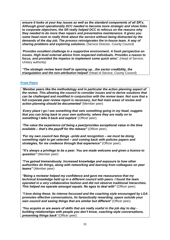*ensure it looks at your key issues as well as the standard components of all SR's. Although good operationally DCC needed to become more strategic and show links to corporate objectives, the SR really helped DCC to refocus on the reasons why they needed to do more than repairs and preventative maintenance. It gives you some head room to really think about the service without being distracted by the demands of the day job. The process reinvigorates the in-house team. A way of sharing problems and exploring solutions.* (Service Director, County Council)

*'Provides excellent challenge in a supportive environment. A fresh perspective on issues. High level external advice from respected individuals. Provides a reason to focus, and provided the impetus to implement some quick wins'.* (Head of Service, Unitary authority)

*"The strategic review leant itself to opening up…the sector credibility, the triangulation and the non-attribution helped'* (Head of Service, County Council)

#### **From Peers**

*'Member peers like the methodology and in particular the action planning aspect of the review. This allowing the council to consider issues and to derive solutions that can be challenged and modified in conjunction with the review team. Not sure that a full corporate peer review report is necessary, but feel main areas of review and action planning should be documented'* (Member peer)

'*Every place I go I see something that sets something going in my head, nuggets that you can bring back to your own authority, where they are really on to something I take it back and explore'* (Officer peer).

*'The value the experience (of being a peer)provides exceptional value in the time available – that's the payoff for the release"* (Officer peer).

*'For my own council two things –pride and recognition – we must be doing something right to get selected – and coming back with policies papers and strategies, for me credence through that experience"* (Officer peer).

*"It's always a privilege to be a peer. You are made welcome and given a licence to question"* (Member peer)

*"I've gained tremendously. Increased knowledge and exposure to how other authorities do things, along with networking and learning from colleagues on peer teams"* (Member peer)

*"Being a reviewer helped my confidence and gave me reassurance that my technical knowledge held up in a different council with peers. I found the team operated in a very collaborative fashion and did not observe traditional hierarchies. This helped me operate amongst equals. No egos to deal with"* (Officer peer).

*"I love doing these. Its intense focussed and the coaching style encouraged by LGA promotes effective conversations, Its fantastically rewarding, space outside your own council and seeing things that are similar but different'* (Officer peer).

*'You acquire or are aware of skills that are really useful in the job day to day building relationships with people you don't know, coaching style conversations, presenting things back'* (Officer peer).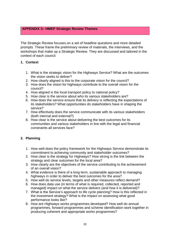# **APPENDIX 3– HMEP Strategic Review Themes**

The Strategic Review focuses on a set of headline questions and more detailed prompts. These frame the preliminary review of materials, the interviews, and the workshops that make up a Strategic Review. They are discussed and tailored in the context of each council.

# **1. Context**

- 1. What is the strategic vision for the Highways Service? What are the outcomes the vision seeks to deliver?
- 2. How clearly aligned is this to the corporate vision for the council?
- 3. How does the vision for highways contribute to the overall vision for the council?
- 4. How aligned is the local transport policy to national policy?
- 5. How clear is the service about who its various stakeholders are?
- 6. How does the service ensure that its delivery is reflecting the expectations of its stakeholders? What opportunities do stakeholders have in shaping the service?
- 7. How effectively does the service communicate with its various stakeholders (both internal and external?)
- 8. How clear is the service about delivering the best outcomes for its communities and various stakeholders in line with the legal and financial constraints all services face?

# **2. Planning**

- 1. How well does the policy framework for the Highways Service demonstrate its commitment to achieving community and stakeholder outcomes?
- 2. How clear is the strategy for Highways? How strong is the link between the strategy and clear outcomes for the local area?
- 3. How clearly are the objectives of the service contributing to the achievement of an overall vision?
- 4. What evidence is there of a long term, sustainable approach to managing highways in order to deliver the best outcomes for the area?
- 5. How well do service levels, targets and other measures reflect demand?
- 6. How does data use (in terms of what is required, collected, reported and managed) impact on what the service delivers (and how it is delivered)?
- 7. What is the Service's approach to life cycle planning? How is this reflected in the investment strategy? What is the impact on assessing what good performance looks like?
- 8. How are Highways works programmes developed? How well do annual programmes, forward programmes and scheme identification work together in producing coherent and appropriate works programmes?